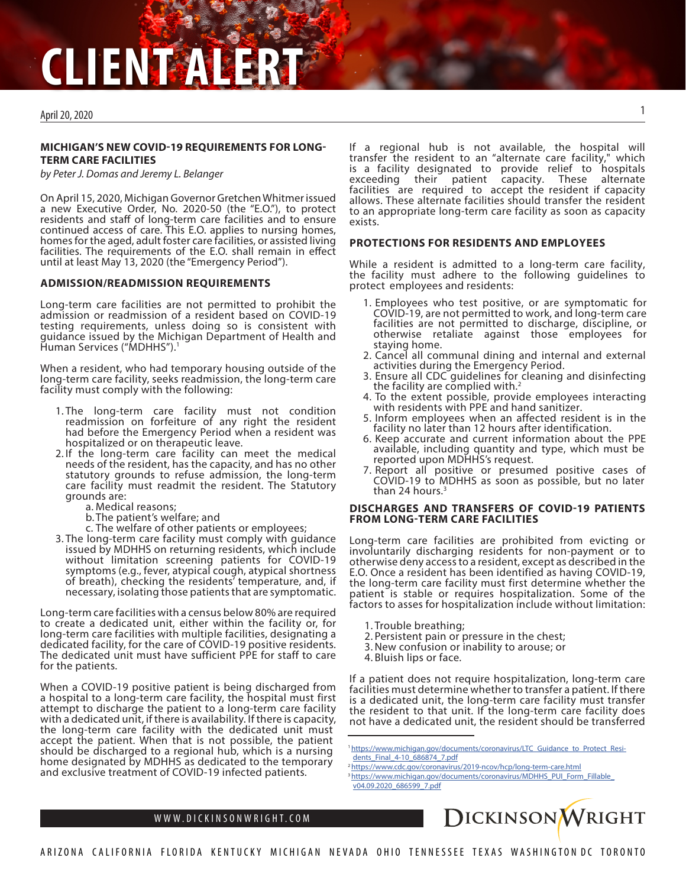# **CLIENT ALERT**

# April 20, 2020

# **MICHIGAN'S NEW COVID-19 REQUIREMENTS FOR LONG-TERM CARE FACILITIES**

*by Peter J. Domas and Jeremy L. Belanger*

On April 15, 2020, Michigan Governor Gretchen Whitmer issued a new Executive Order, No. 2020-50 (the "E.O."), to protect residents and staff of long-term care facilities and to ensure continued access of care. This E.O. applies to nursing homes, homes for the aged, adult foster care facilities, or assisted living facilities. The requirements of the E.O. shall remain in effect until at least May 13, 2020 (the "Emergency Period").

#### **ADMISSION/READMISSION REQUIREMENTS**

Long-term care facilities are not permitted to prohibit the admission or readmission of a resident based on COVID-19 testing requirements, unless doing so is consistent with guidance issued by the Michigan Department of Health and Human Services ("MDHHS").<sup>1</sup>

When a resident, who had temporary housing outside of the long-term care facility, seeks readmission, the long-term care facility must comply with the following:

- 1. The long-term care facility must not condition readmission on forfeiture of any right the resident had before the Emergency Period when a resident was hospitalized or on therapeutic leave.
- 2. If the long-term care facility can meet the medical needs of the resident, has the capacity, and has no other statutory grounds to refuse admission, the long-term care facility must readmit the resident. The Statutory grounds are:
	- a. Medical reasons;
	- b. The patient's welfare; and
	- c. The welfare of other patients or employees;
- 3. The long-term care facility must comply with guidance issued by MDHHS on returning residents, which include without limitation screening patients for COVID-19 symptoms (e.g., fever, atypical cough, atypical shortness of breath), checking the residents' temperature, and, if necessary, isolating those patients that are symptomatic.

Long-term care facilities with a census below 80% are required to create a dedicated unit, either within the facility or, for long-term care facilities with multiple facilities, designating a dedicated facility, for the care of COVID-19 positive residents. The dedicated unit must have sufficient PPE for staff to care for the patients.

When a COVID-19 positive patient is being discharged from a hospital to a long-term care facility, the hospital must first attempt to discharge the patient to a long-term care facility with a dedicated unit, if there is availability. If there is capacity, the long-term care facility with the dedicated unit must accept the patient. When that is not possible, the patient should be discharged to a regional hub, which is a nursing home designated by MDHHS as dedicated to the temporary and exclusive treatment of COVID-19 infected patients.

If a regional hub is not available, the hospital will transfer the resident to an "alternate care facility," which is a facility designated to provide relief to hospitals exceeding their patient capacity. These alternate facilities are required to accept the resident if capacity allows. These alternate facilities should transfer the resident to an appropriate long-term care facility as soon as capacity exists.

#### **PROTECTIONS FOR RESIDENTS AND EMPLOYEES**

While a resident is admitted to a long-term care facility, the facility must adhere to the following guidelines to protect employees and residents:

- 1. Employees who test positive, or are symptomatic for COVID-19, are not permitted to work, and long-term care facilities are not permitted to discharge, discipline, or otherwise retaliate against those employees for staying home.
- 2. Cancel all communal dining and internal and external activities during the Emergency Period.
- 3. Ensure all CDC guidelines for cleaning and disinfecting the facility are complied with. $<sup>2</sup>$ </sup>
- 4. To the extent possible, provide employees interacting with residents with PPE and hand sanitizer.
- 5. Inform employees when an affected resident is in the facility no later than 12 hours after identification.
- 6. Keep accurate and current information about the PPE available, including quantity and type, which must be reported upon MDHHS's request.
- 7. Report all positive or presumed positive cases of COVID-19 to MDHHS as soon as possible, but no later than 24 hours. $3$

# **DISCHARGES AND TRANSFERS OF COVID-19 PATIENTS FROM LONG-TERM CARE FACILITIES**

Long-term care facilities are prohibited from evicting or involuntarily discharging residents for non-payment or to otherwise deny access to a resident, except as described in the E.O. Once a resident has been identified as having COVID-19, the long-term care facility must first determine whether the patient is stable or requires hospitalization. Some of the factors to asses for hospitalization include without limitation:

- 1. Trouble breathing;
- 2. Persistent pain or pressure in the chest;
- 3.New confusion or inability to arouse; or
- 4. Bluish lips or face.

If a patient does not require hospitalization, long-term care facilities must determine whether to transfer a patient. If there is a dedicated unit, the long-term care facility must transfer the resident to that unit. If the long-term care facility does not have a dedicated unit, the resident should be transferred

<sup>&</sup>lt;sup>3</sup> [https://www.michigan.gov/documents/coronavirus/MDHHS\\_PUI\\_Form\\_Fillable\\_](https://www.michigan.gov/documents/coronavirus/MDHHS_PUI_Form_Fillable_v04.09.2020_686599_7.pdf) [v04.09.2020\\_686599\\_7.pdf](https://www.michigan.gov/documents/coronavirus/MDHHS_PUI_Form_Fillable_v04.09.2020_686599_7.pdf)



<sup>1</sup> [https://www.michigan.gov/documents/coronavirus/LTC\\_Guidance\\_to\\_Protect\\_Resi](https://www.michigan.gov/documents/coronavirus/LTC_Guidance_to_Protect_Residents_Final_4-10_686874_7.pdf)[dents\\_Final\\_4-10\\_686874\\_7.pdf](https://www.michigan.gov/documents/coronavirus/LTC_Guidance_to_Protect_Residents_Final_4-10_686874_7.pdf)

<sup>&</sup>lt;sup>2</sup><https://www.cdc.gov/coronavirus/2019-ncov/hcp/long-term-care.html>